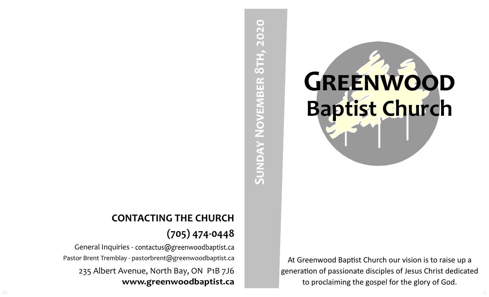# **GREENWOOD Baptist Church**

At Greenwood Baptist Church our vision is to raise up a generation of passionate disciples of Jesus Christ dedicated to proclaiming the gospel for the glory of God.

# SUNDAY NOVEMBER 8TH, 2020 **Sunday November 8th, 2020**

## **CONTACTING THE CHURCH (705) 474-0448**

General Inquiries - contactus@greenwoodbaptist.ca Pastor Brent Tremblay - pastorbrent@greenwoodbaptist.ca 235 Albert Avenue, North Bay, ON P1B 7J6 www.greenwoodbaptist.ca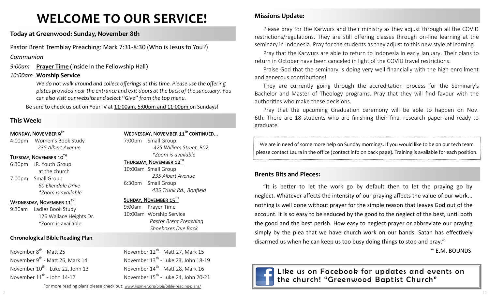# **WELCOME TO OUR SERVICE!**

**Today at Greenwood: Sunday, November 8th**

Pastor Brent Tremblay Preaching: Mark 7:31-8:30 (Who is Jesus to You?)

*Communion*

*9:00am* **Prayer Time** (inside in the Fellowship Hall)

### *10:00am* **Worship Service**

We do not walk around and collect offerings at this time. Please use the offering *plates provided near the entrance and exit doors at the back of the sanctuary. You can also visit our website and select "Give" from the top menu.*

Be sure to check us out on YourTV at 11:00am, 5:00pm and 11:00pm on Sundays!

### **This Week:**

### MONDAY, NOVEMBER 9TH

4:00pm Women's Book Study *235 Albert Avenue*

### TUESDAY, NOVEMBER 10TH

6:30pm JR. Youth Group at the church 7:00pm Small Group *60 Ellendale Drive \*Zoom is available*

### WEDNESDAY, NOVEMBER 11<sup>TH</sup>

9:30am Ladies Book Study 126 Wallace Heights Dr. \*Zoom is available

### **Chronological Bible Reading Plan**

November 8<sup>th</sup> - Matt 25 November 9<sup>th</sup> - Matt 26, Mark 14 November 10<sup>th</sup> - Luke 22, John 13 November  $11^{th}$  - John 14-17

WEDNESDAY, NOVEMBER 11<sup>TH</sup> CONTINUED...

7:00pm Small Group *425 William Street, B02 \*Zoom is available* 

THURSDAY, NOVEMBER 12TH

10:00am Small Group *235 Albert Avenue* 6:30pm Small Group *435 Trunk Rd., Bonfield*

### SUNDAY, NOVEMBER 15TH

9:00am Prayer Time 10:00am Worship Service *Pastor Brent Preaching Shoeboxes Due Back*

November 12<sup>th</sup> - Matt 27, Mark 15 November  $13^{th}$  - Luke 23, John 18-19 November 14<sup>th</sup> - Matt 28, Mark 16 November  $15^{th}$  - Luke 24, John 20-21

For more reading plans please check out: www.ligonier.org/blog/bible-reading-plans/

### **Missions Update:**

Please pray for the Karwurs and their ministry as they adjust through all the COVID restrictions/regulations. They are still offering classes through on-line learning at the seminary in Indonesia. Pray for the students as they adjust to this new style of learning.

Pray that the Karwurs are able to return to Indonesia in early January. Their plans to return in October have been canceled in light of the COVID travel restrictions.

Praise God that the seminary is doing very well financially with the high enrollment and generous contributions!

They are currently going through the accreditation process for the Seminary's Bachelor and Master of Theology programs. Pray that they will find favour with the authorities who make these decisions.

Pray that the upcoming Graduation ceremony will be able to happen on Nov. 6th. There are 18 students who are finishing their final research paper and ready to graduate.

We are in need of some more help on Sunday mornings. If you would like to be on our tech team please contact Laura in the office (contact info on back page). Training is available for each position.

### **Brents Bits and Pieces:**

"It is better to let the work go by default then to let the praying go by neglect. Whatever affects the intensity of our praying affects the value of our work... nothing is well done without prayer for the simple reason that leaves God out of the account. It is so easy to be seduced by the good to the neglect of the best, until both the good and the best perish. How easy to neglect prayer or abbreviate our praying simply by the plea that we have church work on our hands. Satan has effectively disarmed us when he can keep us too busy doing things to stop and pray."

~ E.M. BOUNDS



Like us on Facebook for updates and events on the church! "Greenwood Baptist Church"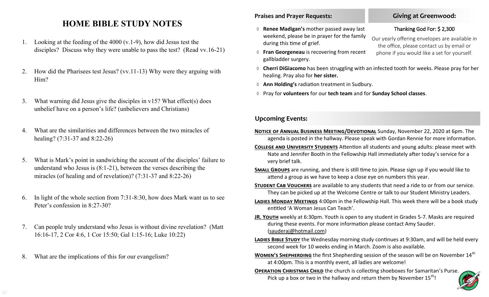### **HOME BIBLE STUDY NOTES**

- 1. Looking at the feeding of the 4000 (v.1-9), how did Jesus test the disciples? Discuss why they were unable to pass the test? (Read vv.16-21)
- 2. How did the Pharisees test Jesus? (vv.11-13) Why were they arguing with Him?
- 3. What warning did Jesus give the disciples in v15? What effect(s) does unbelief have on a person's life? (unbelievers and Christians)
- 4. What are the similarities and differences between the two miracles of healing? (7:31-37 and 8:22-26)
- 5. What is Mark's point in sandwiching the account of the disciples' failure to understand who Jesus is (8:1-21), between the verses describing the miracles (of healing and of revelation)? (7:31-37 and 8:22-26)
- 6. In light of the whole section from 7:31-8:30, how does Mark want us to see Peter's confession in 8:27-30?
- 7. Can people truly understand who Jesus is without divine revelation? (Matt 16:16-17, 2 Cor 4:6, 1 Cor 15:50; Gal 1:15-16; Luke 10:22)
- 8. What are the implications of this for our evangelism?

### **Praises and Prayer Requests:**

- **Renee Madigan's** mother passed away last weekend, please be in prayer for the family during this time of grief.
- **Fran Georgeneau** is recovering from recent gallbladder surgery.
- **Cherri DiGiacomo** has been struggling with an infected tooth for weeks. Please pray for her healing. Pray also for **her sister.**
- **Ann Holding's** radiation treatment in Sudbury.
- Pray for **volunteers** for our **tech team** and for **Sunday School classes**.

### **Upcoming Events:**

- **Notice of Annual Business Meeting/Devotional** Sunday, November 22, 2020 at 6pm. The agenda is posted in the hallway. Please speak with Gordan Rennie for more information.
- **College and University Students** Attention all students and young adults: please meet with Nate and Jennifer Booth in the Fellowship Hall immediately after today's service for a very brief talk.
- **Small Groups** are running, and there is still time to join. Please sign up if you would like to attend a group as we have to keep a close eye on numbers this year.
- **STUDENT CAB VOUCHERS** are available to any students that need a ride to or from our service. They can be picked up at the Welcome Centre or talk to our Student Ministry Leaders.
- **Ladies Monday Meetings** 4:00pm in the Fellowship Hall. This week there will be a book study entitled 'A Woman Jesus Can Teach'.
- **JR. YOUTH** weekly at 6:30pm. Youth is open to any student in Grades 5-7. Masks are required during these events. For more information please contact Amy Sauder. (sauderaj@hotmail.com)
- LADIES BIBLE STUDY the Wednesday morning study continues at 9:30am, and will be held every second week for 10 weeks ending in March. Zoom is also available.
- **WOMEN'S SHEPHERDING** the first Shepherding session of the season will be on November 14<sup>th</sup> at 4:00pm. This is a monthly event, all ladies are welcome!
- **OPERATION CHRISTMAS CHILD** the church is collecting shoeboxes for Samaritan's Purse. Pick up a box or two in the hallway and return them by November  $15^{th}$ !



### **Giving at Greenwood:**

### Thanking God For: \$ 2,300

Our yearly offering envelopes are available in the office, please contact us by email or phone if you would like a set for yourself.